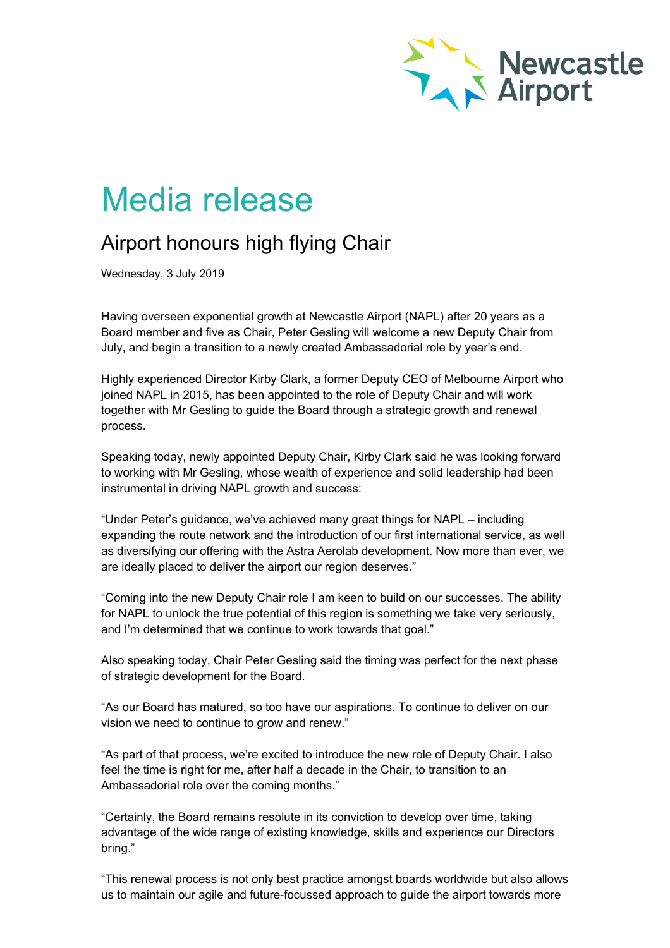

## Media release

## Airport honours high flying Chair

Wednesday, 3 July 2019

Having overseen exponential growth at Newcastle Airport (NAPL) after 20 years as a Board member and five as Chair, Peter Gesling will welcome a new Deputy Chair from July, and begin a transition to a newly created Ambassadorial role by year's end.

Highly experienced Director Kirby Clark, a former Deputy CEO of Melbourne Airport who joined NAPL in 2015, has been appointed to the role of Deputy Chair and will work together with Mr Gesling to guide the Board through a strategic growth and renewal process.

Speaking today, newly appointed Deputy Chair, Kirby Clark said he was looking forward to working with Mr Gesling, whose wealth of experience and solid leadership had been instrumental in driving NAPL growth and success:

"Under Peter's guidance, we've achieved many great things for NAPL – including expanding the route network and the introduction of our first international service, as well as diversifying our offering with the Astra Aerolab development. Now more than ever, we are ideally placed to deliver the airport our region deserves."

"Coming into the new Deputy Chair role I am keen to build on our successes. The ability for NAPL to unlock the true potential of this region is something we take very seriously, and I'm determined that we continue to work towards that goal."

Also speaking today, Chair Peter Gesling said the timing was perfect for the next phase of strategic development for the Board.

"As our Board has matured, so too have our aspirations. To continue to deliver on our vision we need to continue to grow and renew."

"As part of that process, we're excited to introduce the new role of Deputy Chair. I also feel the time is right for me, after half a decade in the Chair, to transition to an Ambassadorial role over the coming months."

"Certainly, the Board remains resolute in its conviction to develop over time, taking advantage of the wide range of existing knowledge, skills and experience our Directors bring."

"This renewal process is not only best practice amongst boards worldwide but also allows us to maintain our agile and future-focussed approach to guide the airport towards more